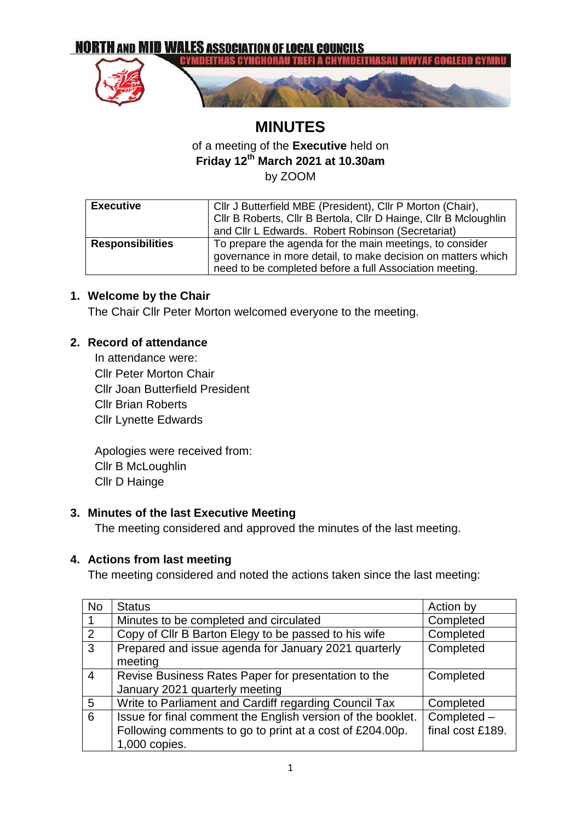

# **MINUTES** of a meeting of the **Executive** held on **Friday 12th March 2021 at 10.30am** by ZOOM

| <b>Executive</b>        | Cllr J Butterfield MBE (President), Cllr P Morton (Chair),       |  |  |
|-------------------------|------------------------------------------------------------------|--|--|
|                         | Cllr B Roberts, Cllr B Bertola, Cllr D Hainge, Cllr B Mcloughlin |  |  |
|                         | and Cllr L Edwards. Robert Robinson (Secretariat)                |  |  |
| <b>Responsibilities</b> | To prepare the agenda for the main meetings, to consider         |  |  |
|                         | governance in more detail, to make decision on matters which     |  |  |
|                         | need to be completed before a full Association meeting.          |  |  |

### **1. Welcome by the Chair**

The Chair Cllr Peter Morton welcomed everyone to the meeting.

### **2. Record of attendance**

In attendance were: Cllr Peter Morton Chair Cllr Joan Butterfield President Cllr Brian Roberts Cllr Lynette Edwards

Apologies were received from: Cllr B McLoughlin Cllr D Hainge

### **3. Minutes of the last Executive Meeting**

The meeting considered and approved the minutes of the last meeting.

#### **4. Actions from last meeting**

The meeting considered and noted the actions taken since the last meeting:

| <b>No</b>      | <b>Status</b>                                               | Action by        |
|----------------|-------------------------------------------------------------|------------------|
| 1              | Minutes to be completed and circulated                      | Completed        |
| 2              | Copy of Cllr B Barton Elegy to be passed to his wife        | Completed        |
| 3              | Prepared and issue agenda for January 2021 quarterly        | Completed        |
|                | meeting                                                     |                  |
| $\overline{4}$ | Revise Business Rates Paper for presentation to the         | Completed        |
|                | January 2021 quarterly meeting                              |                  |
| 5              | Write to Parliament and Cardiff regarding Council Tax       | Completed        |
| 6              | Issue for final comment the English version of the booklet. | Completed -      |
|                | Following comments to go to print at a cost of £204.00p.    | final cost £189. |
|                | 1,000 copies.                                               |                  |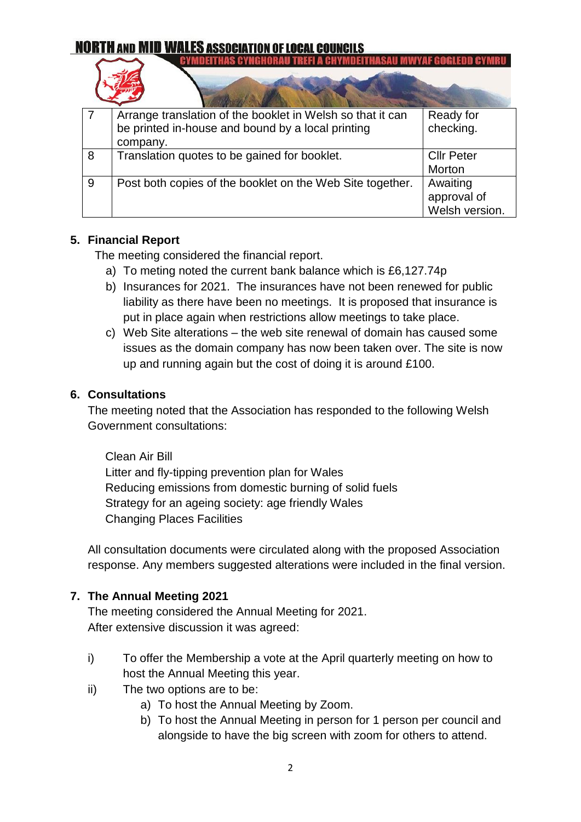|   | Arrange translation of the booklet in Welsh so that it can | Ready for         |
|---|------------------------------------------------------------|-------------------|
|   | be printed in-house and bound by a local printing          | checking.         |
|   | company.                                                   |                   |
| 8 | Translation quotes to be gained for booklet.               | <b>Cllr Peter</b> |
|   |                                                            | <b>Morton</b>     |
| 9 | Post both copies of the booklet on the Web Site together.  | Awaiting          |
|   |                                                            | approval of       |
|   |                                                            | Welsh version.    |

### **5. Financial Report**

The meeting considered the financial report.

- a) To meting noted the current bank balance which is £6,127.74p
- b) Insurances for 2021. The insurances have not been renewed for public liability as there have been no meetings. It is proposed that insurance is put in place again when restrictions allow meetings to take place.
- c) Web Site alterations the web site renewal of domain has caused some issues as the domain company has now been taken over. The site is now up and running again but the cost of doing it is around £100.

### **6. Consultations**

The meeting noted that the Association has responded to the following Welsh Government consultations:

Clean Air Bill [Litter and fly-tipping prevention plan for Wales](https://gov.wales/litter-and-fly-tipping-prevention-plan-wales) [Reducing emissions from domestic burning of solid fuels](https://gov.wales/reducing-emissions-domestic-burning-solid-fuels)  [Strategy for an ageing society: age friendly Wales](https://gov.wales/strategy-ageing-society-age-friendly-wales) Changing Places Facilities

All consultation documents were circulated along with the proposed Association response. Any members suggested alterations were included in the final version.

### **7. The Annual Meeting 2021**

The meeting considered the Annual Meeting for 2021. After extensive discussion it was agreed:

- i) To offer the Membership a vote at the April quarterly meeting on how to host the Annual Meeting this year.
- ii) The two options are to be:
	- a) To host the Annual Meeting by Zoom.
	- b) To host the Annual Meeting in person for 1 person per council and alongside to have the big screen with zoom for others to attend.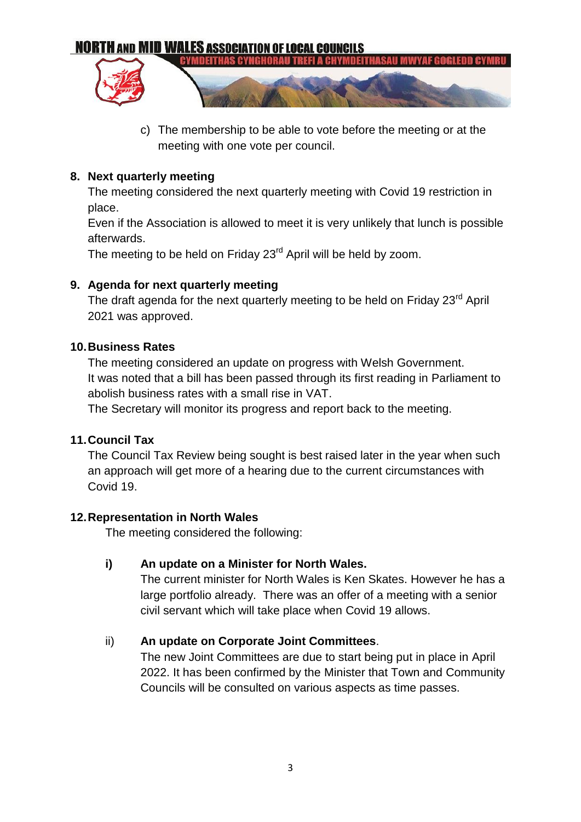

c) The membership to be able to vote before the meeting or at the meeting with one vote per council.

### **8. Next quarterly meeting**

The meeting considered the next quarterly meeting with Covid 19 restriction in place.

Even if the Association is allowed to meet it is very unlikely that lunch is possible afterwards.

The meeting to be held on Friday 23<sup>rd</sup> April will be held by zoom.

### **9. Agenda for next quarterly meeting**

The draft agenda for the next quarterly meeting to be held on Friday 23<sup>rd</sup> April 2021 was approved.

### **10.Business Rates**

The meeting considered an update on progress with Welsh Government. It was noted that a bill has been passed through its first reading in Parliament to abolish business rates with a small rise in VAT.

The Secretary will monitor its progress and report back to the meeting.

### **11.Council Tax**

The Council Tax Review being sought is best raised later in the year when such an approach will get more of a hearing due to the current circumstances with Covid 19.

### **12.Representation in North Wales**

The meeting considered the following:

### **i) An update on a Minister for North Wales.**

The current minister for North Wales is Ken Skates. However he has a large portfolio already. There was an offer of a meeting with a senior civil servant which will take place when Covid 19 allows.

### ii) **An update on Corporate Joint Committees**.

The new Joint Committees are due to start being put in place in April 2022. It has been confirmed by the Minister that Town and Community Councils will be consulted on various aspects as time passes.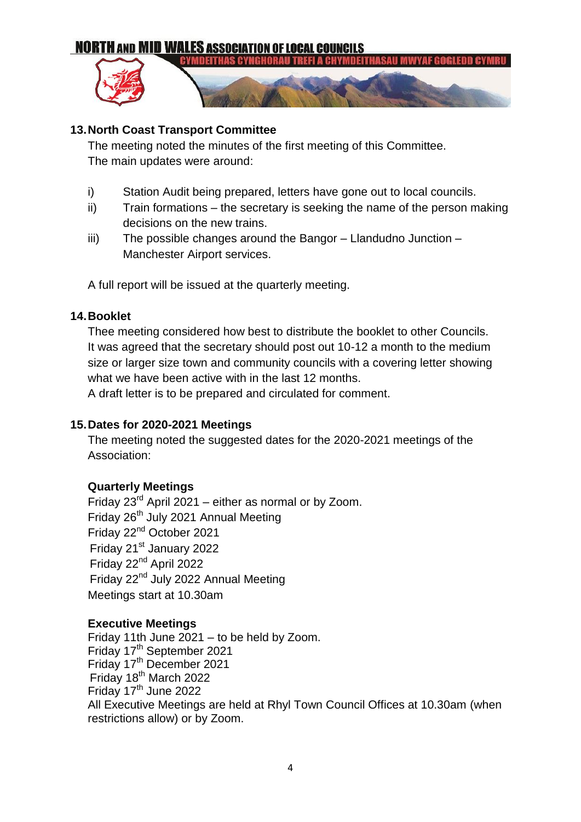

### **13.North Coast Transport Committee**

The meeting noted the minutes of the first meeting of this Committee. The main updates were around:

- i) Station Audit being prepared, letters have gone out to local councils.
- ii) Train formations the secretary is seeking the name of the person making decisions on the new trains.
- iii) The possible changes around the Bangor Llandudno Junction Manchester Airport services.

A full report will be issued at the quarterly meeting.

### **14.Booklet**

Thee meeting considered how best to distribute the booklet to other Councils. It was agreed that the secretary should post out 10-12 a month to the medium size or larger size town and community councils with a covering letter showing what we have been active with in the last 12 months.

A draft letter is to be prepared and circulated for comment.

### **15.Dates for 2020-2021 Meetings**

The meeting noted the suggested dates for the 2020-2021 meetings of the Association:

### **Quarterly Meetings**

Friday  $23<sup>rd</sup>$  April 2021 – either as normal or by Zoom. Friday 26<sup>th</sup> July 2021 Annual Meeting Friday 22nd October 2021 Friday 21<sup>st</sup> January 2022 Friday 22nd April 2022 Friday 22<sup>nd</sup> July 2022 Annual Meeting Meetings start at 10.30am

### **Executive Meetings**

Friday 11th June 2021 – to be held by Zoom. Friday 17<sup>th</sup> September 2021 Friday 17<sup>th</sup> December 2021 Friday 18<sup>th</sup> March 2022 Friday 17<sup>th</sup> June 2022 All Executive Meetings are held at Rhyl Town Council Offices at 10.30am (when restrictions allow) or by Zoom.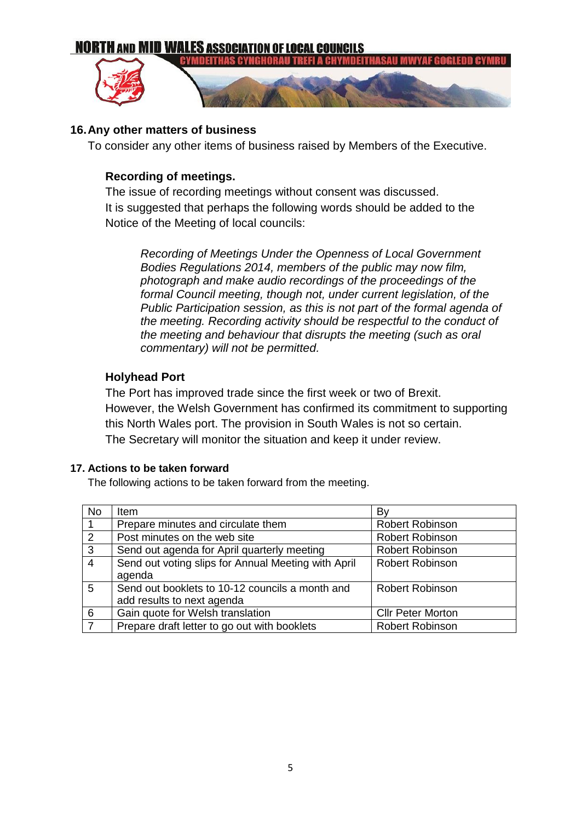

### **16.Any other matters of business**

To consider any other items of business raised by Members of the Executive.

### **Recording of meetings.**

The issue of recording meetings without consent was discussed. It is suggested that perhaps the following words should be added to the Notice of the Meeting of local councils:

*Recording of Meetings Under the Openness of Local Government Bodies Regulations 2014, members of the public may now film, photograph and make audio recordings of the proceedings of the formal Council meeting, though not, under current legislation, of the Public Participation session, as this is not part of the formal agenda of the meeting. Recording activity should be respectful to the conduct of the meeting and behaviour that disrupts the meeting (such as oral commentary) will not be permitted.*

### **Holyhead Port**

The Port has improved trade since the first week or two of Brexit. However, the Welsh Government has confirmed its commitment to supporting this North Wales port. The provision in South Wales is not so certain. The Secretary will monitor the situation and keep it under review.

#### **17. Actions to be taken forward**

The following actions to be taken forward from the meeting.

| No. | <b>Item</b>                                         | Bv                       |
|-----|-----------------------------------------------------|--------------------------|
|     | Prepare minutes and circulate them                  | <b>Robert Robinson</b>   |
| 2   | Post minutes on the web site                        | <b>Robert Robinson</b>   |
| 3   | Send out agenda for April quarterly meeting         | <b>Robert Robinson</b>   |
| 4   | Send out voting slips for Annual Meeting with April | <b>Robert Robinson</b>   |
|     | agenda                                              |                          |
| 5   | Send out booklets to 10-12 councils a month and     | <b>Robert Robinson</b>   |
|     | add results to next agenda                          |                          |
| 6   | Gain quote for Welsh translation                    | <b>Cllr Peter Morton</b> |
| .7  | Prepare draft letter to go out with booklets        | <b>Robert Robinson</b>   |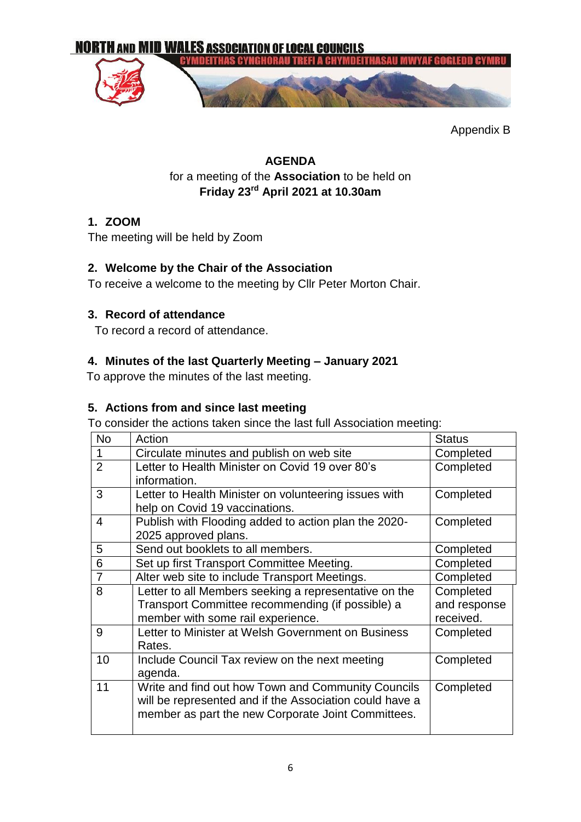

Appendix B

### **AGENDA** for a meeting of the **Association** to be held on **Friday 23rd April 2021 at 10.30am**

### **1. ZOOM**

The meeting will be held by Zoom

### **2. Welcome by the Chair of the Association**

To receive a welcome to the meeting by Cllr Peter Morton Chair.

### **3. Record of attendance**

To record a record of attendance.

### **4. Minutes of the last Quarterly Meeting – January 2021**

To approve the minutes of the last meeting.

### **5. Actions from and since last meeting**

To consider the actions taken since the last full Association meeting:

| <b>No</b>      | Action                                                  | <b>Status</b> |
|----------------|---------------------------------------------------------|---------------|
| 1              | Circulate minutes and publish on web site               | Completed     |
| $\overline{2}$ | Letter to Health Minister on Covid 19 over 80's         | Completed     |
|                | information.                                            |               |
| 3              | Letter to Health Minister on volunteering issues with   | Completed     |
|                | help on Covid 19 vaccinations.                          |               |
| 4              | Publish with Flooding added to action plan the 2020-    | Completed     |
|                | 2025 approved plans.                                    |               |
| 5              | Send out booklets to all members.                       | Completed     |
| 6              | Set up first Transport Committee Meeting.               | Completed     |
| $\overline{7}$ | Alter web site to include Transport Meetings.           | Completed     |
| 8              | Letter to all Members seeking a representative on the   | Completed     |
|                | Transport Committee recommending (if possible) a        | and response  |
|                | member with some rail experience.                       | received.     |
| 9              | Letter to Minister at Welsh Government on Business      | Completed     |
|                | Rates.                                                  |               |
| 10             | Include Council Tax review on the next meeting          | Completed     |
|                | agenda.                                                 |               |
| 11             | Write and find out how Town and Community Councils      | Completed     |
|                | will be represented and if the Association could have a |               |
|                | member as part the new Corporate Joint Committees.      |               |
|                |                                                         |               |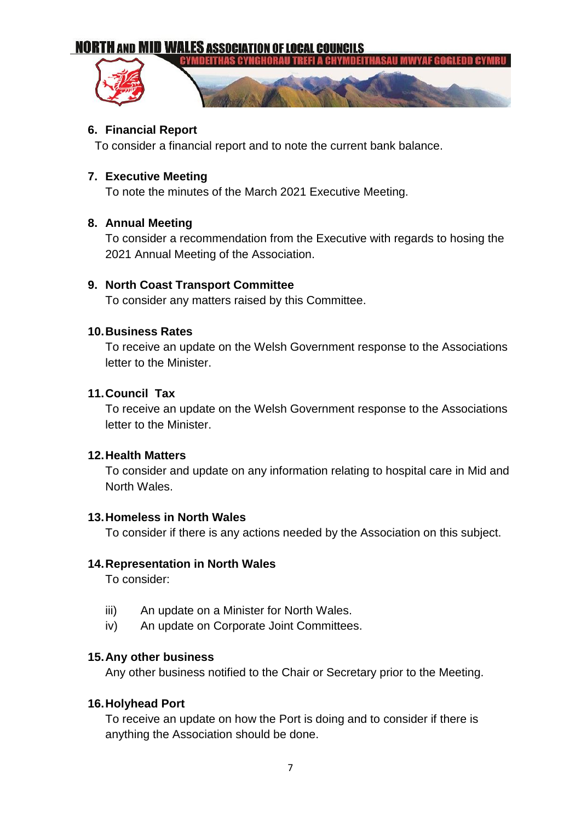**YMDEITHAS CYNGHO** 

### **6. Financial Report**

To consider a financial report and to note the current bank balance.

### **7. Executive Meeting**

To note the minutes of the March 2021 Executive Meeting.

### **8. Annual Meeting**

To consider a recommendation from the Executive with regards to hosing the 2021 Annual Meeting of the Association.

### **9. North Coast Transport Committee**

To consider any matters raised by this Committee.

#### **10.Business Rates**

To receive an update on the Welsh Government response to the Associations letter to the Minister.

### **11.Council Tax**

To receive an update on the Welsh Government response to the Associations letter to the Minister.

#### **12.Health Matters**

To consider and update on any information relating to hospital care in Mid and North Wales.

#### **13.Homeless in North Wales**

To consider if there is any actions needed by the Association on this subject.

#### **14.Representation in North Wales**

To consider:

- iii) An update on a Minister for North Wales.
- iv) An update on Corporate Joint Committees.

#### **15.Any other business**

Any other business notified to the Chair or Secretary prior to the Meeting.

#### **16.Holyhead Port**

To receive an update on how the Port is doing and to consider if there is anything the Association should be done.